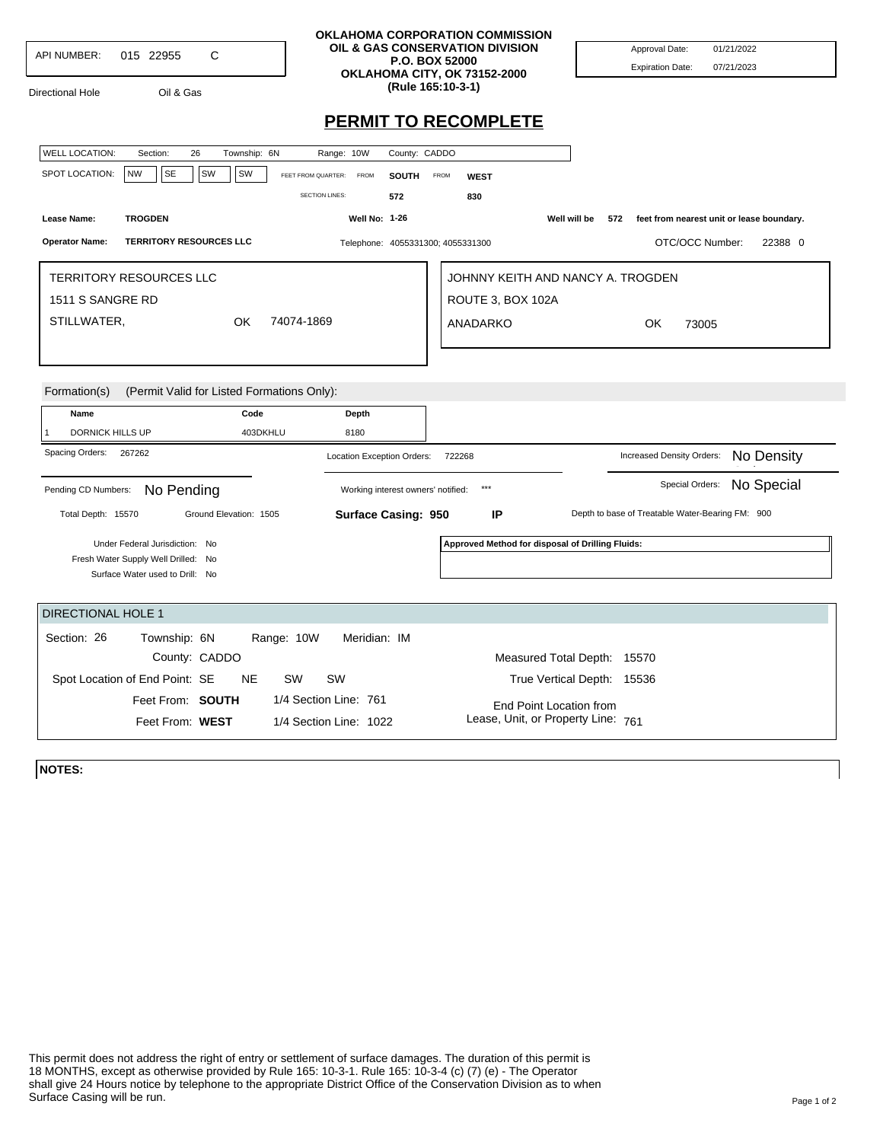| <b>API NUMBER:</b> | 015 22955 |  |
|--------------------|-----------|--|
|                    |           |  |

Directional Hole Oil & Gas

## **OKLAHOMA CORPORATION COMMISSION OIL & GAS CONSERVATION DIVISION P.O. BOX 52000 OKLAHOMA CITY, OK 73152-2000 (Rule 165:10-3-1)**

Approval Date: 01/21/2022 Expiration Date: 07/21/2023

## **PERMIT TO RECOMPLETE**

| <b>WELL LOCATION:</b>          | Section:                                   | 26                     | Township: 6N |                       | Range: 10W            |                                   | County: CADDO                      |             |                                                  |                             |     |                                                  |                                           |            |         |
|--------------------------------|--------------------------------------------|------------------------|--------------|-----------------------|-----------------------|-----------------------------------|------------------------------------|-------------|--------------------------------------------------|-----------------------------|-----|--------------------------------------------------|-------------------------------------------|------------|---------|
| SPOT LOCATION:                 | <b>NW</b><br>SE                            | SW                     | <b>SW</b>    | FEET FROM QUARTER:    |                       | <b>FROM</b>                       | SOUTH                              | <b>FROM</b> | <b>WEST</b>                                      |                             |     |                                                  |                                           |            |         |
|                                |                                            |                        |              |                       | <b>SECTION LINES:</b> |                                   | 572                                |             | 830                                              |                             |     |                                                  |                                           |            |         |
| Lease Name:                    | <b>TROGDEN</b>                             |                        |              |                       |                       | <b>Well No: 1-26</b>              |                                    |             |                                                  | Well will be                | 572 |                                                  | feet from nearest unit or lease boundary. |            |         |
| <b>Operator Name:</b>          | <b>TERRITORY RESOURCES LLC</b>             |                        |              |                       |                       |                                   |                                    |             | Telephone: 4055331300; 4055331300                |                             |     |                                                  | OTC/OCC Number:                           |            | 22388 0 |
| <b>TERRITORY RESOURCES LLC</b> |                                            |                        |              |                       |                       | JOHNNY KEITH AND NANCY A. TROGDEN |                                    |             |                                                  |                             |     |                                                  |                                           |            |         |
| 1511 S SANGRE RD               |                                            |                        |              |                       |                       | ROUTE 3, BOX 102A                 |                                    |             |                                                  |                             |     |                                                  |                                           |            |         |
| STILLWATER,                    |                                            |                        | OK           | 74074-1869            |                       |                                   |                                    |             | <b>ANADARKO</b>                                  |                             |     | OK                                               | 73005                                     |            |         |
|                                |                                            |                        |              |                       |                       |                                   |                                    |             |                                                  |                             |     |                                                  |                                           |            |         |
|                                |                                            |                        |              |                       |                       |                                   |                                    |             |                                                  |                             |     |                                                  |                                           |            |         |
| Formation(s)                   | (Permit Valid for Listed Formations Only): |                        |              |                       |                       |                                   |                                    |             |                                                  |                             |     |                                                  |                                           |            |         |
| Name                           |                                            |                        | Code         |                       |                       | Depth                             |                                    |             |                                                  |                             |     |                                                  |                                           |            |         |
| <b>DORNICK HILLS UP</b>        |                                            |                        | 403DKHLU     |                       |                       |                                   |                                    |             |                                                  |                             |     |                                                  |                                           |            |         |
|                                |                                            |                        |              |                       | 8180                  |                                   |                                    |             |                                                  |                             |     |                                                  |                                           |            |         |
| Spacing Orders:                | 267262                                     |                        |              |                       |                       |                                   | Location Exception Orders:         |             | 722268                                           |                             |     | Increased Density Orders:                        |                                           | No Density |         |
| Pending CD Numbers:            | No Pending                                 |                        |              |                       |                       |                                   | Working interest owners' notified: |             | $***$                                            |                             |     |                                                  | Special Orders:                           | No Special |         |
| Total Depth: 15570             |                                            | Ground Elevation: 1505 |              |                       |                       |                                   | Surface Casing: 950                |             | IP                                               |                             |     | Depth to base of Treatable Water-Bearing FM: 900 |                                           |            |         |
|                                | Under Federal Jurisdiction: No             |                        |              |                       |                       |                                   |                                    |             | Approved Method for disposal of Drilling Fluids: |                             |     |                                                  |                                           |            |         |
|                                | Fresh Water Supply Well Drilled: No        |                        |              |                       |                       |                                   |                                    |             |                                                  |                             |     |                                                  |                                           |            |         |
|                                | Surface Water used to Drill: No            |                        |              |                       |                       |                                   |                                    |             |                                                  |                             |     |                                                  |                                           |            |         |
| <b>DIRECTIONAL HOLE 1</b>      |                                            |                        |              |                       |                       |                                   |                                    |             |                                                  |                             |     |                                                  |                                           |            |         |
| Section: 26                    | Township: 6N                               |                        |              | Range: 10W            |                       | Meridian: IM                      |                                    |             |                                                  |                             |     |                                                  |                                           |            |         |
|                                |                                            | County: CADDO          |              |                       |                       |                                   |                                    |             |                                                  | Measured Total Depth: 15570 |     |                                                  |                                           |            |         |
|                                | Spot Location of End Point: SE             |                        | <b>NE</b>    | <b>SW</b>             | SW                    |                                   |                                    |             |                                                  | True Vertical Depth: 15536  |     |                                                  |                                           |            |         |
|                                | Feet From: SOUTH                           |                        |              | 1/4 Section Line: 761 |                       |                                   |                                    |             |                                                  | End Point Location from     |     |                                                  |                                           |            |         |

**NOTES:**